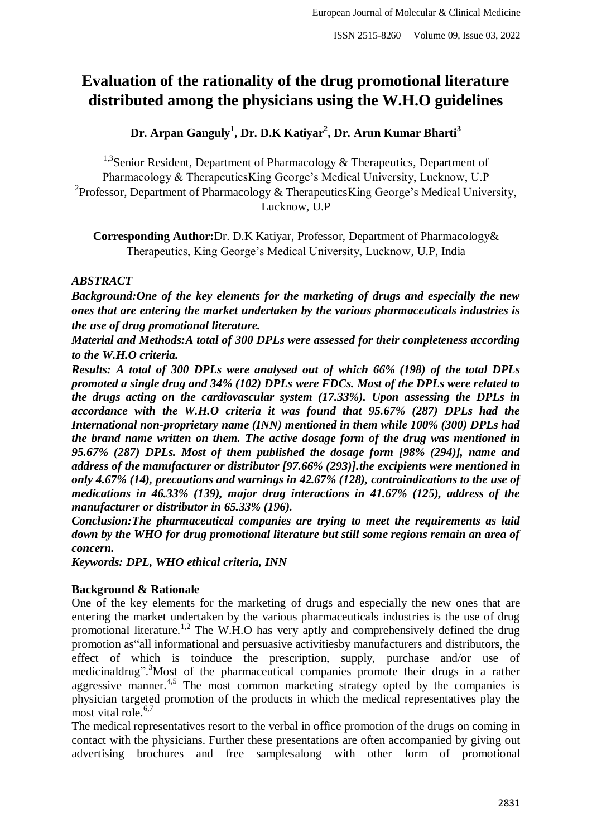# **Evaluation of the rationality of the drug promotional literature distributed among the physicians using the W.H.O guidelines**

**Dr. Arpan Ganguly<sup>1</sup> , Dr. D.K Katiyar<sup>2</sup> , Dr. Arun Kumar Bharti<sup>3</sup>**

<sup>1,3</sup> Senior Resident, Department of Pharmacology & Therapeutics, Department of Pharmacology & TherapeuticsKing George's Medical University, Lucknow, U.P <sup>2</sup> Professor, Department of Pharmacology & Therapeutics King George's Medical University, Lucknow, U.P

**Corresponding Author:**Dr. D.K Katiyar, Professor, Department of Pharmacology& Therapeutics, King George's Medical University, Lucknow, U.P, India

# *ABSTRACT*

*Background:One of the key elements for the marketing of drugs and especially the new ones that are entering the market undertaken by the various pharmaceuticals industries is the use of drug promotional literature.* 

*Material and Methods:A total of 300 DPLs were assessed for their completeness according to the W.H.O criteria.*

*Results: A total of 300 DPLs were analysed out of which 66% (198) of the total DPLs promoted a single drug and 34% (102) DPLs were FDCs. Most of the DPLs were related to the drugs acting on the cardiovascular system (17.33%). Upon assessing the DPLs in accordance with the W.H.O criteria it was found that 95.67% (287) DPLs had the International non-proprietary name (INN) mentioned in them while 100% (300) DPLs had the brand name written on them. The active dosage form of the drug was mentioned in 95.67% (287) DPLs. Most of them published the dosage form [98% (294)], name and address of the manufacturer or distributor [97.66% (293)].the excipients were mentioned in only 4.67% (14), precautions and warnings in 42.67% (128), contraindications to the use of medications in 46.33% (139), major drug interactions in 41.67% (125), address of the manufacturer or distributor in 65.33% (196).*

*Conclusion:The pharmaceutical companies are trying to meet the requirements as laid down by the WHO for drug promotional literature but still some regions remain an area of concern.*

*Keywords: DPL, WHO ethical criteria, INN*

# **Background & Rationale**

One of the key elements for the marketing of drugs and especially the new ones that are entering the market undertaken by the various pharmaceuticals industries is the use of drug promotional literature.<sup>1,2</sup> The W.H.O has very aptly and comprehensively defined the drug promotion as"all informational and persuasive activitiesby manufacturers and distributors, the effect of which is toinduce the prescription, supply, purchase and/or use of medicinaldrug". <sup>3</sup>Most of the pharmaceutical companies promote their drugs in a rather aggressive manner.<sup>4,5</sup> The most common marketing strategy opted by the companies is physician targeted promotion of the products in which the medical representatives play the most vital role. $6,7$ 

The medical representatives resort to the verbal in office promotion of the drugs on coming in contact with the physicians. Further these presentations are often accompanied by giving out advertising brochures and free samplesalong with other form of promotional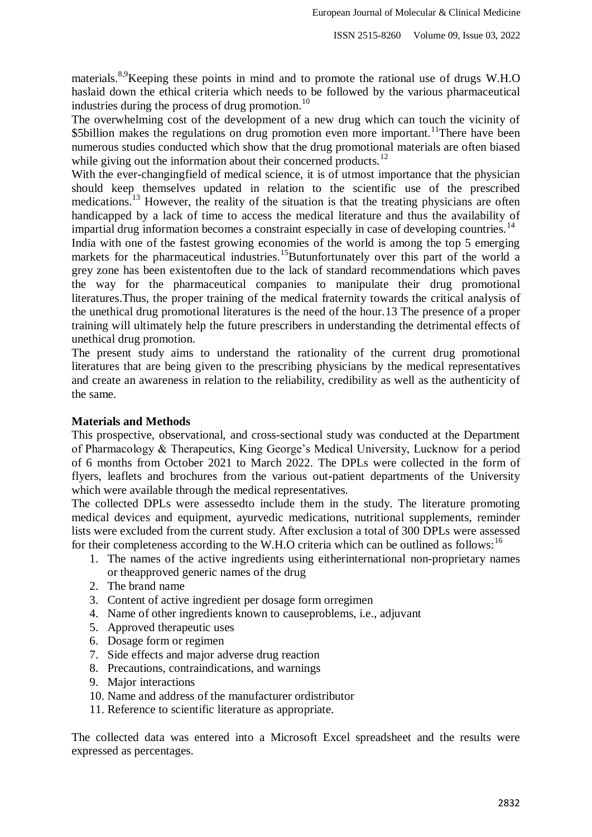materials.<sup>8,9</sup>Keeping these points in mind and to promote the rational use of drugs W.H.O haslaid down the ethical criteria which needs to be followed by the various pharmaceutical industries during the process of drug promotion. $^{10}$ 

The overwhelming cost of the development of a new drug which can touch the vicinity of \$5billion makes the regulations on drug promotion even more important.<sup>11</sup>There have been numerous studies conducted which show that the drug promotional materials are often biased while giving out the information about their concerned products.<sup>12</sup>

With the ever-changingfield of medical science, it is of utmost importance that the physician should keep themselves updated in relation to the scientific use of the prescribed medications.<sup>13</sup> However, the reality of the situation is that the treating physicians are often handicapped by a lack of time to access the medical literature and thus the availability of impartial drug information becomes a constraint especially in case of developing countries.<sup>14</sup>

India with one of the fastest growing economies of the world is among the top 5 emerging markets for the pharmaceutical industries.<sup>15</sup>Butunfortunately over this part of the world a grey zone has been existentoften due to the lack of standard recommendations which paves the way for the pharmaceutical companies to manipulate their drug promotional literatures.Thus, the proper training of the medical fraternity towards the critical analysis of the unethical drug promotional literatures is the need of the hour.13 The presence of a proper training will ultimately help the future prescribers in understanding the detrimental effects of unethical drug promotion.

The present study aims to understand the rationality of the current drug promotional literatures that are being given to the prescribing physicians by the medical representatives and create an awareness in relation to the reliability, credibility as well as the authenticity of the same.

#### **Materials and Methods**

This prospective, observational, and cross-sectional study was conducted at the Department of Pharmacology & Therapeutics, King George's Medical University, Lucknow for a period of 6 months from October 2021 to March 2022. The DPLs were collected in the form of flyers, leaflets and brochures from the various out-patient departments of the University which were available through the medical representatives.

The collected DPLs were assessedto include them in the study. The literature promoting medical devices and equipment, ayurvedic medications, nutritional supplements, reminder lists were excluded from the current study. After exclusion a total of 300 DPLs were assessed for their completeness according to the W.H.O criteria which can be outlined as follows:  $16$ 

- 1. The names of the active ingredients using eitherinternational non-proprietary names or theapproved generic names of the drug
- 2. The brand name
- 3. Content of active ingredient per dosage form orregimen
- 4. Name of other ingredients known to causeproblems, i.e., adjuvant
- 5. Approved therapeutic uses
- 6. Dosage form or regimen
- 7. Side effects and major adverse drug reaction
- 8. Precautions, contraindications, and warnings
- 9. Major interactions
- 10. Name and address of the manufacturer ordistributor
- 11. Reference to scientific literature as appropriate.

The collected data was entered into a Microsoft Excel spreadsheet and the results were expressed as percentages.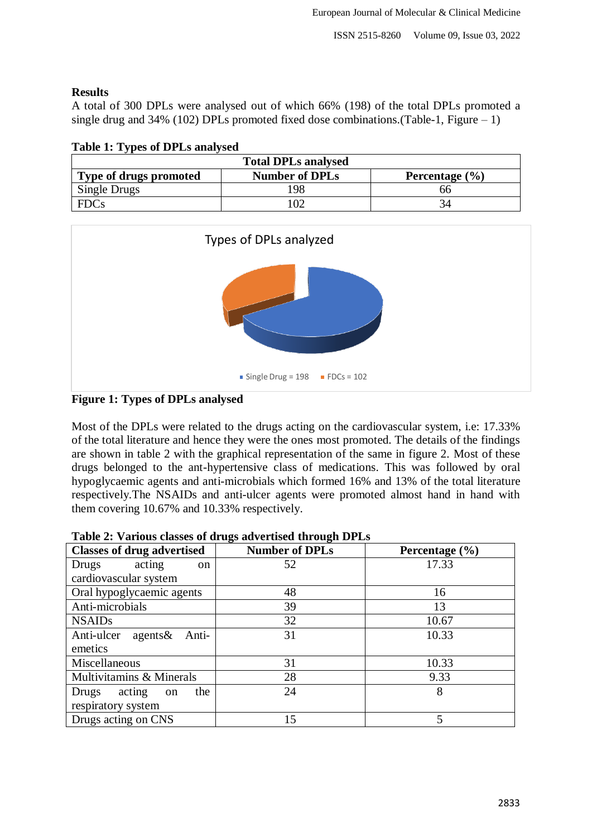### **Results**

A total of 300 DPLs were analysed out of which 66% (198) of the total DPLs promoted a single drug and  $34\%$  (102) DPLs promoted fixed dose combinations.(Table-1, Figure – 1)

| Table 1. Types of DT LS analysed<br><b>Total DPLs analysed</b> |     |    |  |  |
|----------------------------------------------------------------|-----|----|--|--|
|                                                                |     |    |  |  |
| Single Drugs                                                   | 198 | ჩჩ |  |  |
| <b>FDCs</b>                                                    | ഥാ  |    |  |  |

**Table 1: Types of DPLs analysed**



## **Figure 1: Types of DPLs analysed**

Most of the DPLs were related to the drugs acting on the cardiovascular system, i.e: 17.33% of the total literature and hence they were the ones most promoted. The details of the findings are shown in table 2 with the graphical representation of the same in figure 2. Most of these drugs belonged to the ant-hypertensive class of medications. This was followed by oral hypoglycaemic agents and anti-microbials which formed 16% and 13% of the total literature respectively.The NSAIDs and anti-ulcer agents were promoted almost hand in hand with them covering 10.67% and 10.33% respectively.

| <b>Classes of drug advertised</b>       | <b>Number of DPLs</b> | Percentage $(\% )$       |
|-----------------------------------------|-----------------------|--------------------------|
| acting<br>Drugs<br><sub>on</sub>        | 52                    | 17.33                    |
| cardiovascular system                   |                       |                          |
| Oral hypoglycaemic agents               | 48                    | 16                       |
| Anti-microbials                         | 39                    | 13                       |
| <b>NSAIDs</b>                           | 32                    | 10.67                    |
| Anti-ulcer agents &<br>Anti-            | 31                    | 10.33                    |
| emetics                                 |                       |                          |
| Miscellaneous                           | 31                    | 10.33                    |
| Multivitamins & Minerals                | 28                    | 9.33                     |
| the<br>acting<br>Drugs<br><sub>on</sub> | 24                    | 8                        |
| respiratory system                      |                       |                          |
| Drugs acting on CNS                     | 15                    | $\overline{\phantom{0}}$ |

**Table 2: Various classes of drugs advertised through DPLs**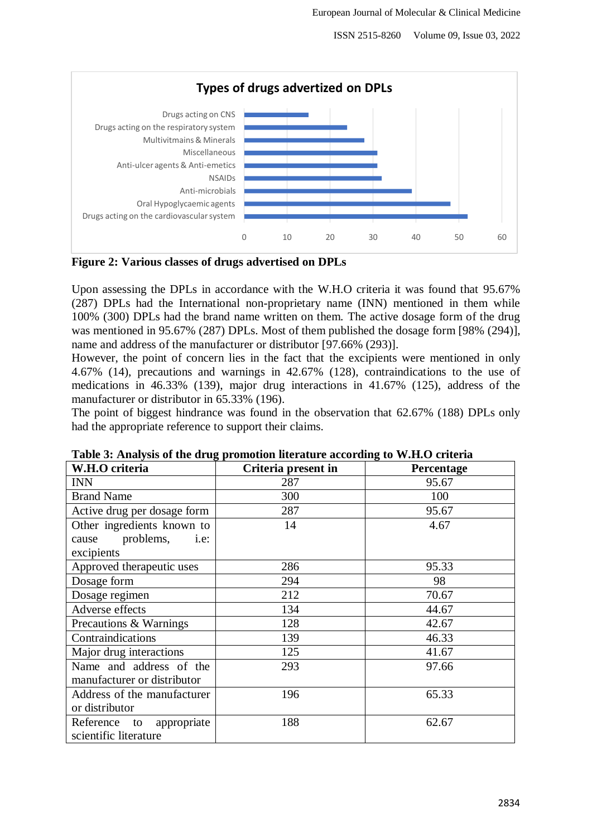ISSN 2515-8260 Volume 09, Issue 03, 2022



**Figure 2: Various classes of drugs advertised on DPLs**

Upon assessing the DPLs in accordance with the W.H.O criteria it was found that 95.67% (287) DPLs had the International non-proprietary name (INN) mentioned in them while 100% (300) DPLs had the brand name written on them. The active dosage form of the drug was mentioned in 95.67% (287) DPLs. Most of them published the dosage form [98% (294)], name and address of the manufacturer or distributor [97.66% (293)].

However, the point of concern lies in the fact that the excipients were mentioned in only 4.67% (14), precautions and warnings in 42.67% (128), contraindications to the use of medications in 46.33% (139), major drug interactions in 41.67% (125), address of the manufacturer or distributor in 65.33% (196).

The point of biggest hindrance was found in the observation that 62.67% (188) DPLs only had the appropriate reference to support their claims.

| W.H.O criteria              | Criteria present in | Percentage |
|-----------------------------|---------------------|------------|
| <b>INN</b>                  | 287                 | 95.67      |
| <b>Brand Name</b>           | 300                 | 100        |
| Active drug per dosage form | 287                 | 95.67      |
| Other ingredients known to  | 14                  | 4.67       |
| problems,<br>i.e:<br>cause  |                     |            |
| excipients                  |                     |            |
| Approved therapeutic uses   | 286                 | 95.33      |
| Dosage form                 | 294                 | 98         |
| Dosage regimen              | 212                 | 70.67      |
| Adverse effects             | 134                 | 44.67      |
| Precautions & Warnings      | 128                 | 42.67      |
| Contraindications           | 139                 | 46.33      |
| Major drug interactions     | 125                 | 41.67      |
| Name and address of the     | 293                 | 97.66      |
| manufacturer or distributor |                     |            |
| Address of the manufacturer | 196                 | 65.33      |
| or distributor              |                     |            |
| Reference to<br>appropriate | 188                 | 62.67      |
| scientific literature       |                     |            |

**Table 3: Analysis of the drug promotion literature according to W.H.O criteria**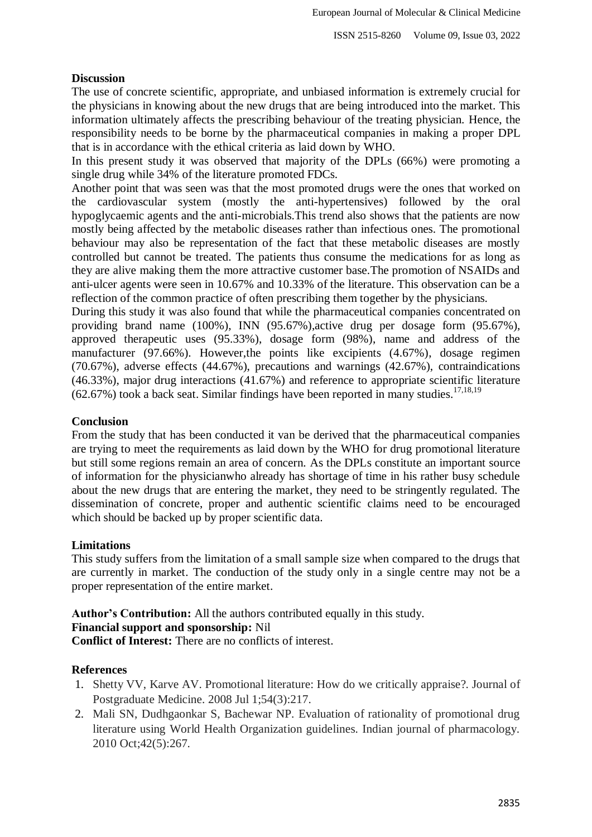#### **Discussion**

The use of concrete scientific, appropriate, and unbiased information is extremely crucial for the physicians in knowing about the new drugs that are being introduced into the market. This information ultimately affects the prescribing behaviour of the treating physician. Hence, the responsibility needs to be borne by the pharmaceutical companies in making a proper DPL that is in accordance with the ethical criteria as laid down by WHO.

In this present study it was observed that majority of the DPLs (66%) were promoting a single drug while 34% of the literature promoted FDCs.

Another point that was seen was that the most promoted drugs were the ones that worked on the cardiovascular system (mostly the anti-hypertensives) followed by the oral hypoglycaemic agents and the anti-microbials.This trend also shows that the patients are now mostly being affected by the metabolic diseases rather than infectious ones. The promotional behaviour may also be representation of the fact that these metabolic diseases are mostly controlled but cannot be treated. The patients thus consume the medications for as long as they are alive making them the more attractive customer base.The promotion of NSAIDs and anti-ulcer agents were seen in 10.67% and 10.33% of the literature. This observation can be a reflection of the common practice of often prescribing them together by the physicians.

During this study it was also found that while the pharmaceutical companies concentrated on providing brand name (100%), INN (95.67%),active drug per dosage form (95.67%), approved therapeutic uses (95.33%), dosage form (98%), name and address of the manufacturer (97.66%). However,the points like excipients (4.67%), dosage regimen (70.67%), adverse effects (44.67%), precautions and warnings (42.67%), contraindications (46.33%), major drug interactions (41.67%) and reference to appropriate scientific literature  $(62.67%)$  took a back seat. Similar findings have been reported in many studies.<sup>17,18,19</sup>

#### **Conclusion**

From the study that has been conducted it van be derived that the pharmaceutical companies are trying to meet the requirements as laid down by the WHO for drug promotional literature but still some regions remain an area of concern. As the DPLs constitute an important source of information for the physicianwho already has shortage of time in his rather busy schedule about the new drugs that are entering the market, they need to be stringently regulated. The dissemination of concrete, proper and authentic scientific claims need to be encouraged which should be backed up by proper scientific data.

#### **Limitations**

This study suffers from the limitation of a small sample size when compared to the drugs that are currently in market. The conduction of the study only in a single centre may not be a proper representation of the entire market.

#### **Author's Contribution:** All the authors contributed equally in this study. **Financial support and sponsorship:** Nil

**Conflict of Interest:** There are no conflicts of interest.

#### **References**

- 1. Shetty VV, Karve AV. Promotional literature: How do we critically appraise?. Journal of Postgraduate Medicine. 2008 Jul 1;54(3):217.
- 2. Mali SN, Dudhgaonkar S, Bachewar NP. Evaluation of rationality of promotional drug literature using World Health Organization guidelines. Indian journal of pharmacology. 2010 Oct;42(5):267.